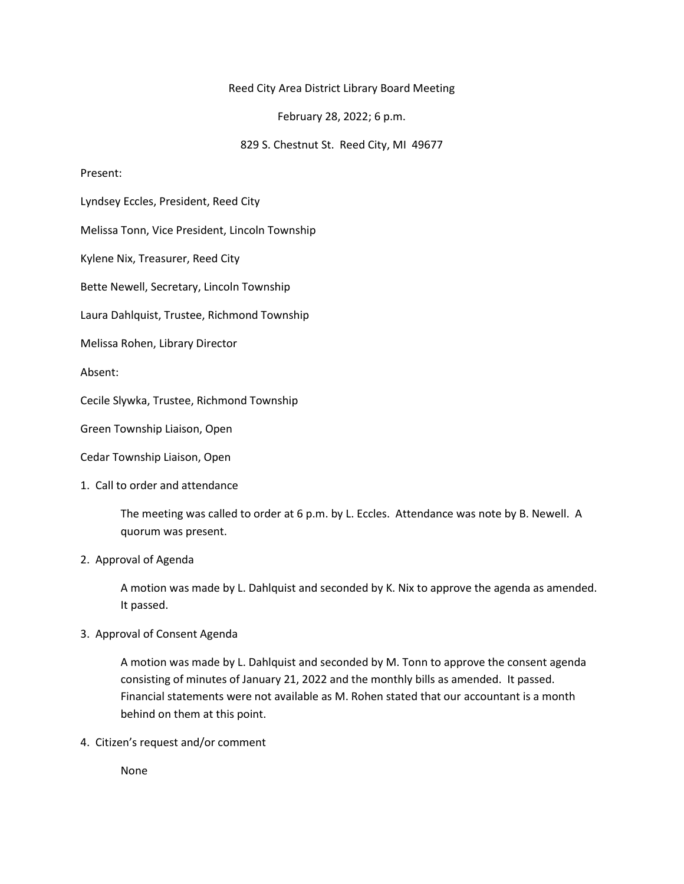## Reed City Area District Library Board Meeting

February 28, 2022; 6 p.m.

829 S. Chestnut St. Reed City, MI 49677

#### Present:

Lyndsey Eccles, President, Reed City

Melissa Tonn, Vice President, Lincoln Township

Kylene Nix, Treasurer, Reed City

Bette Newell, Secretary, Lincoln Township

Laura Dahlquist, Trustee, Richmond Township

Melissa Rohen, Library Director

Absent:

Cecile Slywka, Trustee, Richmond Township

Green Township Liaison, Open

Cedar Township Liaison, Open

1. Call to order and attendance

The meeting was called to order at 6 p.m. by L. Eccles. Attendance was note by B. Newell. A quorum was present.

# 2. Approval of Agenda

A motion was made by L. Dahlquist and seconded by K. Nix to approve the agenda as amended. It passed.

# 3. Approval of Consent Agenda

A motion was made by L. Dahlquist and seconded by M. Tonn to approve the consent agenda consisting of minutes of January 21, 2022 and the monthly bills as amended. It passed. Financial statements were not available as M. Rohen stated that our accountant is a month behind on them at this point.

4. Citizen's request and/or comment

None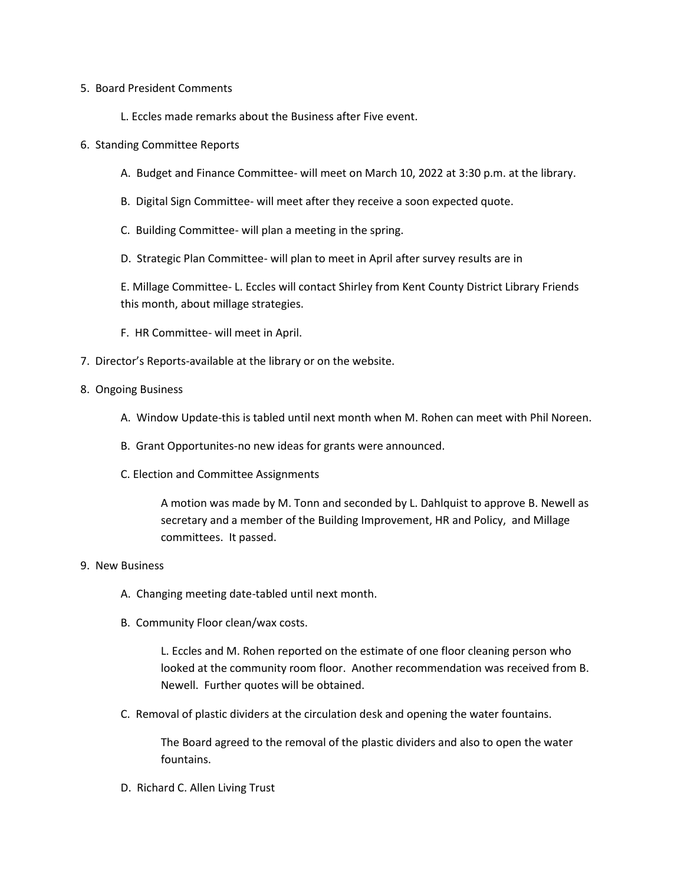#### 5. Board President Comments

- L. Eccles made remarks about the Business after Five event.
- 6. Standing Committee Reports
	- A. Budget and Finance Committee- will meet on March 10, 2022 at 3:30 p.m. at the library.
	- B. Digital Sign Committee- will meet after they receive a soon expected quote.
	- C. Building Committee- will plan a meeting in the spring.
	- D. Strategic Plan Committee- will plan to meet in April after survey results are in

E. Millage Committee- L. Eccles will contact Shirley from Kent County District Library Friends this month, about millage strategies.

- F. HR Committee- will meet in April.
- 7. Director's Reports-available at the library or on the website.

## 8. Ongoing Business

- A. Window Update-this is tabled until next month when M. Rohen can meet with Phil Noreen.
- B. Grant Opportunites-no new ideas for grants were announced.
- C. Election and Committee Assignments

A motion was made by M. Tonn and seconded by L. Dahlquist to approve B. Newell as secretary and a member of the Building Improvement, HR and Policy, and Millage committees. It passed.

#### 9. New Business

- A. Changing meeting date-tabled until next month.
- B. Community Floor clean/wax costs.

L. Eccles and M. Rohen reported on the estimate of one floor cleaning person who looked at the community room floor. Another recommendation was received from B. Newell. Further quotes will be obtained.

C. Removal of plastic dividers at the circulation desk and opening the water fountains.

The Board agreed to the removal of the plastic dividers and also to open the water fountains.

D. Richard C. Allen Living Trust